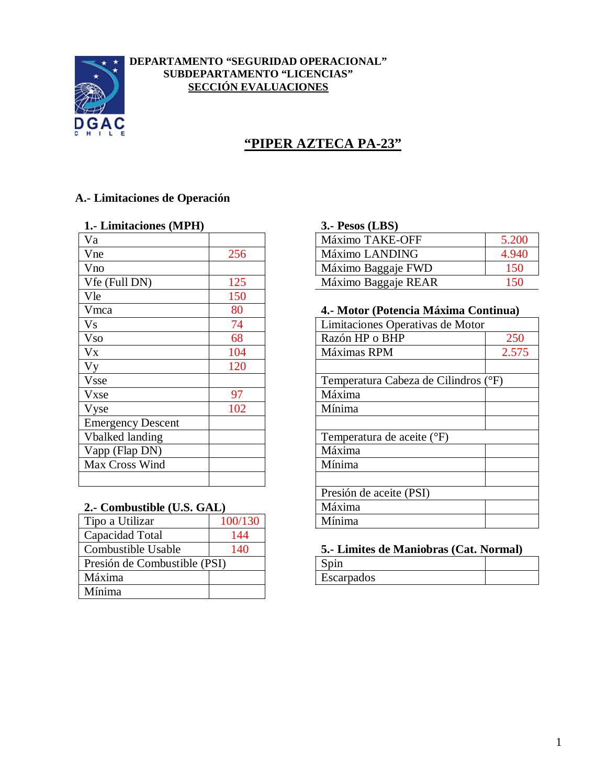

#### **DEPARTAMENTO "SEGURIDAD OPERACIONAL" SUBDEPARTAMENTO "LICENCIAS" SECCIÓN EVALUACIONES**

# **"PIPER AZTECA PA-23"**

## **A.- Limitaciones de Operación**

#### **1.- Limitaciones (MPH) 3.- Pesos (LBS)**

| Va                       |     | Máximo TAKE-OFF                  |
|--------------------------|-----|----------------------------------|
| Vne                      | 256 | Máximo LANDING                   |
| Vno                      |     | Máximo Baggaje FWD               |
| Vfe (Full DN)            | 125 | Máximo Baggaje REAR              |
| Vle                      | 150 |                                  |
| Vmca                     | 80  | 4.- Motor (Potencia Máxima Cor   |
| <b>Vs</b>                | 74  | Limitaciones Operativas de Motor |
| <b>Vso</b>               | 68  | Razón HP o BHP                   |
| Vx                       | 104 | Máximas RPM                      |
| Vy                       | 120 |                                  |
| <b>Vsse</b>              |     | Temperatura Cabeza de Cilindros  |
| Vxse                     | 97  | Máxima                           |
| Vyse                     | 102 | Mínima                           |
| <b>Emergency Descent</b> |     |                                  |
| <b>Vbalked landing</b>   |     | Temperatura de aceite (°F)       |
| Vapp (Flap DN)           |     | Máxima                           |
| Max Cross Wind           |     | Mínima                           |
|                          |     |                                  |

#### **2.- Combustible (U.S. GAL)**

| 100/130 |                              | Mínima      |
|---------|------------------------------|-------------|
| 144     |                              |             |
| 140     |                              | 5.- Limites |
|         |                              | Spin        |
|         |                              | Escarpados  |
|         |                              |             |
|         | Presión de Combustible (PSI) |             |

| Va            |     | Máximo TAKE-OFF     | 5.200 |
|---------------|-----|---------------------|-------|
| Vne           |     | Máximo LANDING      |       |
| Vno           |     | Máximo Baggaje FWD  |       |
| Vfe (Full DN) | 1つら | Máximo Baggaje REAR |       |

#### Vmca 80 **4.- Motor (Potencia Máxima Continua)**

| V <sub>S</sub>             | 74      | Limitaciones Operativas de Motor     |  |
|----------------------------|---------|--------------------------------------|--|
| <b>V<sub>so</sub></b>      | 68      | Razón HP o BHP<br>250                |  |
| $V_{X}$                    | 104     | Máximas RPM<br>2.575                 |  |
| Vy                         | 120     |                                      |  |
| <b>Vsse</b>                |         | Temperatura Cabeza de Cilindros (°F) |  |
| Vxse                       | 97      | Máxima                               |  |
| Vyse                       | 102     | Mínima                               |  |
| <b>Emergency Descent</b>   |         |                                      |  |
| <b>Vbalked landing</b>     |         | Temperatura de aceite (°F)           |  |
| Vapp (Flap DN)             |         | Máxima                               |  |
| Max Cross Wind             |         | Mínima                               |  |
|                            |         |                                      |  |
|                            |         | Presión de aceite (PSI)              |  |
| 2.- Combustible (U.S. GAL) |         | Máxima                               |  |
| Tipo a Utilizar            | 100/130 | Mínima                               |  |
|                            |         |                                      |  |

#### 5.- Limites de Maniobras (Cat. Normal)

| Escarpados |  |
|------------|--|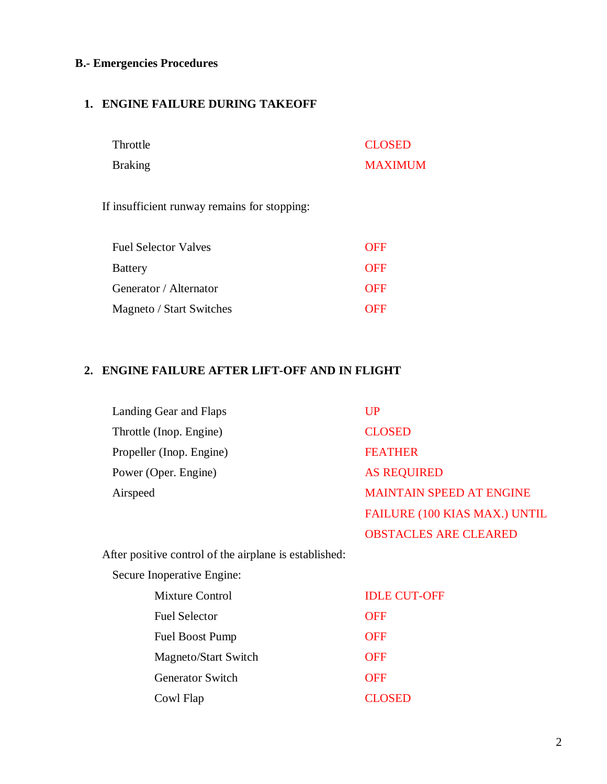### **B.- Emergencies Procedures**

## **1. ENGINE FAILURE DURING TAKEOFF**

| Throttle | <b>CLOSED</b>  |
|----------|----------------|
| Braking  | <b>MAXIMUM</b> |

If insufficient runway remains for stopping:

| <b>Fuel Selector Valves</b> | <b>OFF</b> |
|-----------------------------|------------|
| <b>Battery</b>              | <b>OFF</b> |
| Generator / Alternator      | <b>OFF</b> |
| Magneto / Start Switches    | <b>OFF</b> |

## **2. ENGINE FAILURE AFTER LIFT-OFF AND IN FLIGHT**

| Landing Gear and Flaps   | $_{\rm UP}$                          |
|--------------------------|--------------------------------------|
| Throttle (Inop. Engine)  | <b>CLOSED</b>                        |
| Propeller (Inop. Engine) | <b>FEATHER</b>                       |
| Power (Oper. Engine)     | <b>AS REQUIRED</b>                   |
| Airspeed                 | <b>MAINTAIN SPEED AT ENGINE</b>      |
|                          | <b>FAILURE (100 KIAS MAX.) UNTIL</b> |

OBSTACLES ARE CLEARED

After positive control of the airplane is established:

Secure Inoperative Engine:

| <b>Mixture Control</b>      | <b>IDLE CUT-OFF</b> |
|-----------------------------|---------------------|
| <b>Fuel Selector</b>        | <b>OFF</b>          |
| <b>Fuel Boost Pump</b>      | <b>OFF</b>          |
| <b>Magneto/Start Switch</b> | <b>OFF</b>          |
| <b>Generator Switch</b>     | <b>OFF</b>          |
| Cowl Flap                   | <b>CLOSED</b>       |